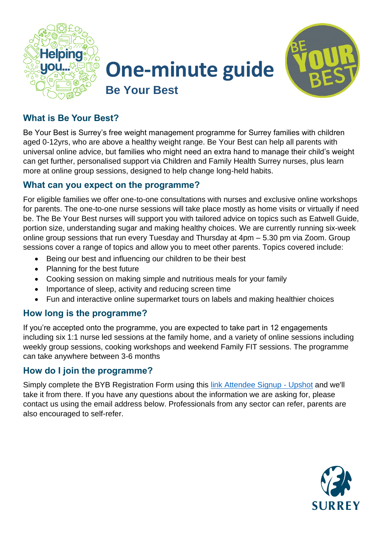





# **What is Be Your Best?**

Be Your Best is Surrey's free weight management programme for Surrey families with children aged 0-12yrs, who are above a healthy weight range. Be Your Best can help all parents with universal online advice, but families who might need an extra hand to manage their child's weight can get further, personalised support via Children and Family Health Surrey nurses, plus learn more at online group sessions, designed to help change long-held habits.

#### **What can you expect on the programme?**

For eligible families we offer one-to-one consultations with nurses and exclusive online workshops for parents. The one-to-one nurse sessions will take place mostly as home visits or virtually if need be. The Be Your Best nurses will support you with tailored advice on topics such as Eatwell Guide, portion size, understanding sugar and making healthy choices. We are currently running six-week online group sessions that run every Tuesday and Thursday at 4pm – 5.30 pm via Zoom. Group sessions cover a range of topics and allow you to meet other parents. Topics covered include:

- Being our best and influencing our children to be their best
- Planning for the best future
- Cooking session on making simple and nutritious meals for your family
- Importance of sleep, activity and reducing screen time
- Fun and interactive online supermarket tours on labels and making healthier choices

## **How long is the programme?**

If you're accepted onto the programme, you are expected to take part in 12 engagements including six 1:1 nurse led sessions at the family home, and a variety of online sessions including weekly group sessions, cooking workshops and weekend Family FIT sessions. The programme can take anywhere between 3-6 months

## **How do I join the programme?**

Simply complete the BYB Registration Form using this [link Attendee Signup -](https://app.upshot.org.uk/signup/463af4e9/) Upshot and we'll take it from there. If you have any questions about the information we are asking for, please contact us using the email address below. Professionals from any sector can refer, parents are also encouraged to self-refer.